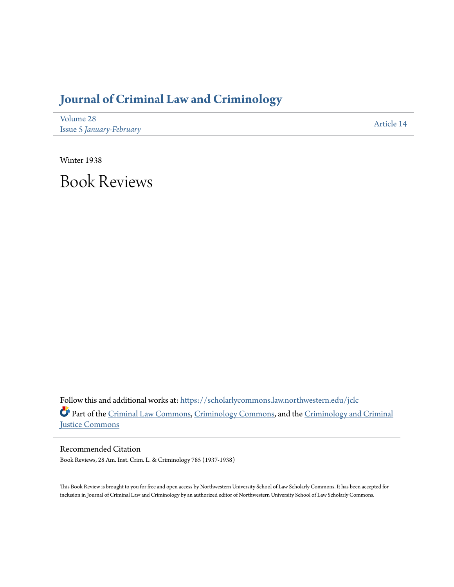## **[Journal of Criminal Law and Criminology](https://scholarlycommons.law.northwestern.edu/jclc?utm_source=scholarlycommons.law.northwestern.edu%2Fjclc%2Fvol28%2Fiss5%2F14&utm_medium=PDF&utm_campaign=PDFCoverPages)**

| Volume 28                       | Article 14 |
|---------------------------------|------------|
| <b>Issue 5 January-February</b> |            |

Winter 1938 Book Reviews

Follow this and additional works at: [https://scholarlycommons.law.northwestern.edu/jclc](https://scholarlycommons.law.northwestern.edu/jclc?utm_source=scholarlycommons.law.northwestern.edu%2Fjclc%2Fvol28%2Fiss5%2F14&utm_medium=PDF&utm_campaign=PDFCoverPages) Part of the [Criminal Law Commons](http://network.bepress.com/hgg/discipline/912?utm_source=scholarlycommons.law.northwestern.edu%2Fjclc%2Fvol28%2Fiss5%2F14&utm_medium=PDF&utm_campaign=PDFCoverPages), [Criminology Commons](http://network.bepress.com/hgg/discipline/417?utm_source=scholarlycommons.law.northwestern.edu%2Fjclc%2Fvol28%2Fiss5%2F14&utm_medium=PDF&utm_campaign=PDFCoverPages), and the [Criminology and Criminal](http://network.bepress.com/hgg/discipline/367?utm_source=scholarlycommons.law.northwestern.edu%2Fjclc%2Fvol28%2Fiss5%2F14&utm_medium=PDF&utm_campaign=PDFCoverPages) [Justice Commons](http://network.bepress.com/hgg/discipline/367?utm_source=scholarlycommons.law.northwestern.edu%2Fjclc%2Fvol28%2Fiss5%2F14&utm_medium=PDF&utm_campaign=PDFCoverPages)

Recommended Citation Book Reviews, 28 Am. Inst. Crim. L. & Criminology 785 (1937-1938)

This Book Review is brought to you for free and open access by Northwestern University School of Law Scholarly Commons. It has been accepted for inclusion in Journal of Criminal Law and Criminology by an authorized editor of Northwestern University School of Law Scholarly Commons.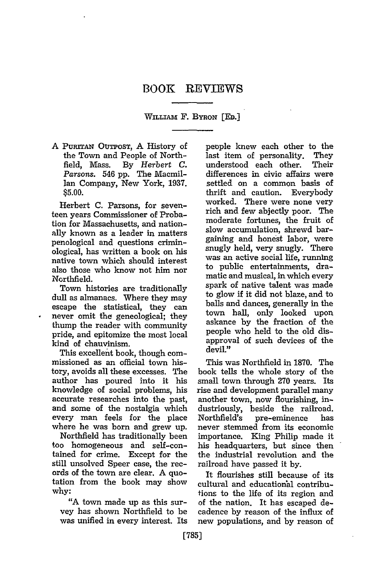WILLIAM F. BYRON [ED.]

A PURITAN OUTPOST, A History of the Town and People of Northfield, Mass. By *Herbert C. Parsons.* 546 pp. The Macmillan Company, New York, 1937. **\$5.00.**

Herbert **C.** Parsons, for seventeen years Commissioner of Probation for Massachusetts, and nationally known as a leader in matters penological and questions criminological, has written a book on his native town which should interest also those who know not him nor Northfield.

Town histories are traditionally dull as almanacs. Where they may escape the statistical, they can never omit the geneological; they thump the reader with community pride, and epitomize the most local kind of chauvinism.

This excellent book, though commissioned as an official town history, avoids all these excesses. The author has poured into it his knowledge of social problems, his accurate researches into the past, and some of the nostalgia which every man feels for the place where he was born and grew up.

Northfield has traditionally been too homogeneous and self-contained for crime. Except for the still unsolved Speer case, the records of the town are clear. A quotation from the book may show why:

"A town made up as this survey has shown Northfield to be was unified in every interest. Its people knew each other to the last item of personality. They understood each other. Their differences in civic affairs were settled on a common basis of thrift and caution. Everybody worked. There were none very rich and few abjectly poor. The moderate fortunes, the fruit of slow accumulation, shrewd bargaining and honest labor, were snugly held, very snugly. There was an active social life, running to public entertainments, dramatic and musical, in which every spark of native talent was made to glow if it did not blaze, and to balls and dances, generally in the town hall, only looked upon askance by the fraction of the people who held to the old disapproval of such devices of the devil."

This was Northfield in 1870. The book tells the whole story of the small town through 270 years. Its rise and development parallel many another town, now flourishing, industriously, beside the railroad. Northfield's pre-eminence has never stemmed from its economic importance. King Philip made it his headquarters, but since then the industrial revolution and the railroad have passed it by.

It flourishes still because of its cultural and educational contributions to the life of its region and of the nation. It has escaped decadence by reason of the influx of new populations, and by reason of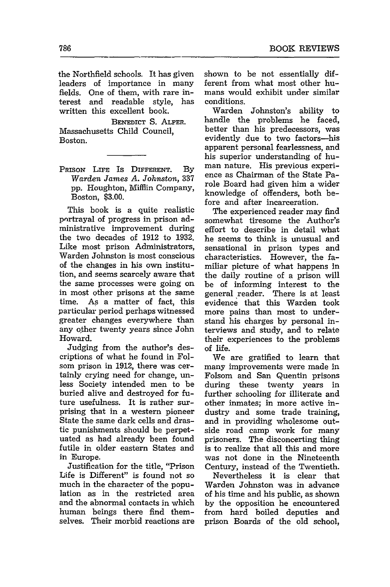BENEDICT S. ALPER. Massachusetts Child Council, Boston.

PRISON LIFE Is DIFFERENT. By *Warden James A. Johnston,* 337 pp. Houghton, Mifflin Company, Boston, \$3.00.

This book is a quite realistic portrayal of progress in prison administrative improvement during the two decades of 1912 to 1932. Like most prison Administrators, Warden Johnston is most conscious of the changes in his own institution, and seems scarcely aware that the same processes were going on in most other prisons at the same time. As a matter of fact, this particular period perhaps witnessed greater changes everywhere than any other twenty years since John Howard.

Judging from the author's descriptions of what he found in Folsom prison in 1912, there was certainly crying need for change, unless Society intended men to be buried alive and destroyed for future usefulness. It is rather surprising that in a western pioneer State the same dark cells and drastic punishments should be perpetuated as had already been found futile in older eastern States and in Europe.

Justification for the title, "Prison Life is Different" is found not so much in the character of the population as in the restricted area and the abnormal contacts in which human beings there find themselves. Their morbid reactions are shown to be not essentially different from what most other humans would exhibit under similar conditions.

Warden Johnston's ability to handle the problems he faced, better than his predecessors, was evidently due to two factors-his apparent personal fearlessness, and his superior understanding of human nature. His previous experience as Chairman of the State Parole Board had given him a wider knowledge of offenders, both before and after incarceration.

The experienced reader may find somewhat tiresome the Author's effort to describe in detail what he seems to think is unusual and sensational in prison types and characteristics. However, the familiar picture of what happens In the daily routine of a prison will be of informing interest to the general reader. There is at least evidence that this Warden took more pains than most to understand his charges by personal interviews and study, and to relate their experiences to the problems of life.

We are gratified to learn that many improvements were made in Folsom and San Quentin prisons during these twenty years in further schooling for illiterate and other inmates; in more active industry and some trade training, and in providing wholesome outside road camp work for many prisoners. The disconcerting thing is to realize that all this and more was not done in the Nineteenth Century, instead of the Twentieth.

Nevertheless it is clear that Warden Johnston was in advance of his time and his public, as shown by the opposition he encountered from hard boiled deputies and prison Boards of the old school,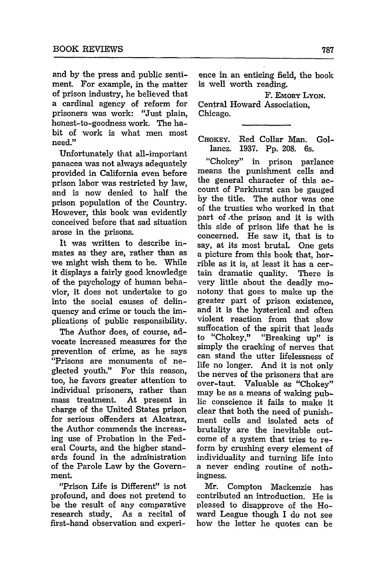and by the press and public sentiment. For example, in the matter of prison industry, he believed that a cardinal agency of reform for prisoners was work: "Just plain, honest-to-goodness work. The habit of work is what men most need."

Unfortunately that all-important panacea was not always adequately provided in California even before prison labor was restricted by law, and is now denied to half the prison population of the Country. However, this book was evidently conceived before that sad situation arose in the prisons.

It was written to describe inmates as they are, rather than as we might wish them to be. While it displays a fairly good knowledge of the psychology of human behavior, it does not undertake to go into the social causes of delinquency and crime or touch the implications of public responsibility.

The Author does, of course, advocate increased measures for the prevention of crime, as he says "Prisons are monuments of neglected youth." For this reason, too, he favors greater attention to individual prisoners, rather than mass treatment. At present in charge of the United States prison for serious offenders at Alcatraz, the Author commends the increasing use of Probation in the Federal Courts, and the higher standards found in the administration of the Parole Law by the Government.

"Prison Life is Different" is not profound, and does not pretend to be the result of any comparative research study. As a recital of first-hand observation and experi-

ence in an enticing field, the book is well worth reading.

F. EMORY Lyox. Central Howard Association, Chicago.

**CHOKEY.** Red Collar Man. Gollancz. 1937. Pp. 208. 6s.

"Chokey" in prison parlance means the punishment cells and the general character of this account of Parkhurst can be gauged by the title. The author was one of the trusties who worked in that part of .the prison and it is with this side of prison life that he is concerned. He saw it, that is to say, at its most brutal. One gets a picture from this book that, horrible as it is, at least it has a certain dramatic quality. There is very little about the deadly monotony that goes to make up the greater part of prison existence, and it is the hysterical and often violent reaction from that slow suffocation of the spirit that leads<br>to "Chokey," "Breaking up" is "Breaking up" is simply the cracking of nerves that can stand the utter lifelessness of life no longer. And it is not only **the** nerves of the prisoners that are over-taut. Valuable as "Chokey" may be as a means of waking public conscience it fails to make it clear that both the need of punishment cells and isolated acts of brutality are the inevitable outcome of a system that tries to reform by crushing every element of individuality and turning life into a never ending routine of nothingness.

Mr. Compton Mackenzie has contributed an introduction. He is pleased to disapprove of the Howard League though I do not see how the letter he quotes can be